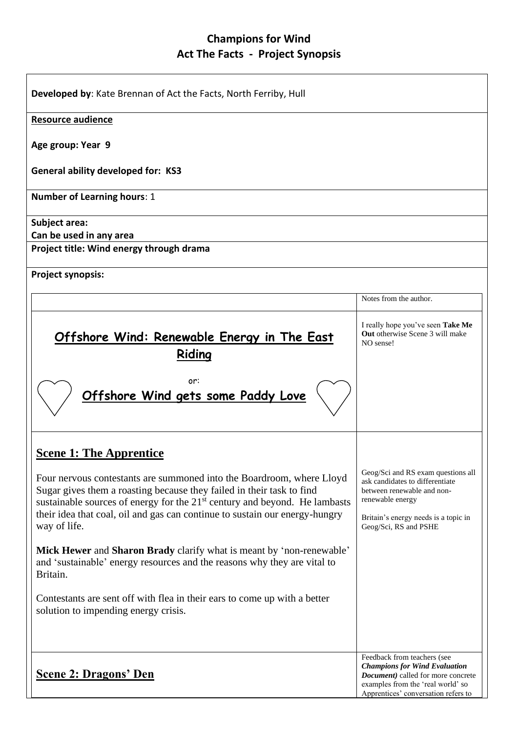## **Champions for Wind Act The Facts - Project Synopsis**

| Developed by: Kate Brennan of Act the Facts, North Ferriby, Hull                                                                                                                                                                                                                                                              |                                                                                                                                                                                               |  |
|-------------------------------------------------------------------------------------------------------------------------------------------------------------------------------------------------------------------------------------------------------------------------------------------------------------------------------|-----------------------------------------------------------------------------------------------------------------------------------------------------------------------------------------------|--|
| <b>Resource audience</b>                                                                                                                                                                                                                                                                                                      |                                                                                                                                                                                               |  |
| Age group: Year 9                                                                                                                                                                                                                                                                                                             |                                                                                                                                                                                               |  |
| <b>General ability developed for: KS3</b>                                                                                                                                                                                                                                                                                     |                                                                                                                                                                                               |  |
| <b>Number of Learning hours: 1</b>                                                                                                                                                                                                                                                                                            |                                                                                                                                                                                               |  |
| Subject area:<br>Can be used in any area                                                                                                                                                                                                                                                                                      |                                                                                                                                                                                               |  |
| Project title: Wind energy through drama                                                                                                                                                                                                                                                                                      |                                                                                                                                                                                               |  |
| <b>Project synopsis:</b>                                                                                                                                                                                                                                                                                                      |                                                                                                                                                                                               |  |
|                                                                                                                                                                                                                                                                                                                               | Notes from the author.                                                                                                                                                                        |  |
| Offshore Wind: Renewable Energy in The East<br>Riding                                                                                                                                                                                                                                                                         | I really hope you've seen Take Me<br><b>Out</b> otherwise Scene 3 will make<br>NO sense!                                                                                                      |  |
| or:<br>Offshore Wind gets some Paddy Love                                                                                                                                                                                                                                                                                     |                                                                                                                                                                                               |  |
| <b>Scene 1: The Apprentice</b>                                                                                                                                                                                                                                                                                                |                                                                                                                                                                                               |  |
| Four nervous contestants are summoned into the Boardroom, where Lloyd<br>Sugar gives them a roasting because they failed in their task to find<br>sustainable sources of energy for the $21st$ century and beyond. He lambasts<br>their idea that coal, oil and gas can continue to sustain our energy-hungry<br>way of life. | Geog/Sci and RS exam questions all<br>ask candidates to differentiate<br>between renewable and non-<br>renewable energy<br>Britain's energy needs is a topic in<br>Geog/Sci, RS and PSHE      |  |
| Mick Hewer and Sharon Brady clarify what is meant by 'non-renewable'<br>and 'sustainable' energy resources and the reasons why they are vital to<br>Britain.                                                                                                                                                                  |                                                                                                                                                                                               |  |
| Contestants are sent off with flea in their ears to come up with a better<br>solution to impending energy crisis.                                                                                                                                                                                                             |                                                                                                                                                                                               |  |
| <b>Scene 2: Dragons' Den</b>                                                                                                                                                                                                                                                                                                  | Feedback from teachers (see<br><b>Champions for Wind Evaluation</b><br><b>Document</b> ) called for more concrete<br>examples from the 'real world' so<br>Apprentices' conversation refers to |  |